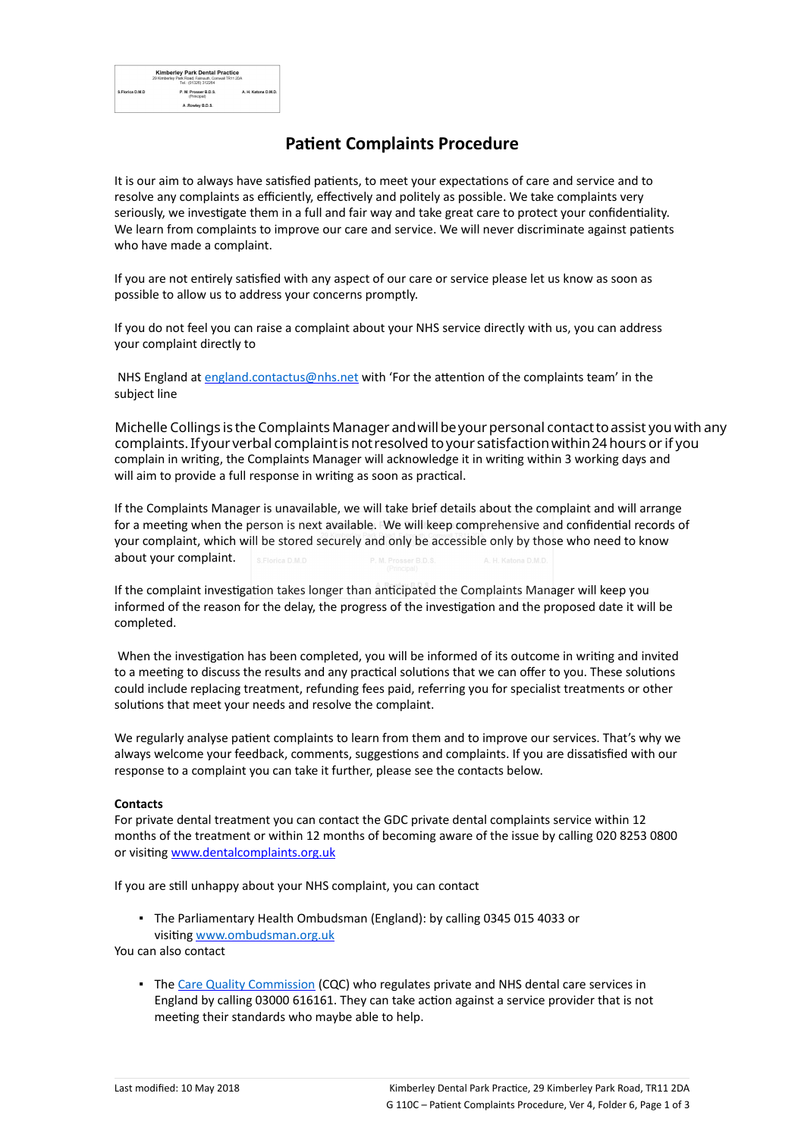## **Patient Complaints Procedure**

It is our aim to always have satisfied patients, to meet your expectations of care and service and to resolve any complaints as efficiently, effectively and politely as possible. We take complaints very seriously, we investigate them in a full and fair way and take great care to protect your confidentiality. We learn from complaints to improve our care and service. We will never discriminate against patients who have made a complaint.

If you are not entirely satisfied with any aspect of our care or service please let us know as soon as possible to allow us to address your concerns promptly.

If you do not feel you can raise a complaint about your NHS service directly with us, you can address your complaint directly to

NHS England at [england.contactus@nhs.net](mailto:england.contactus@nhs.net) with 'For the attention of the complaints team' in the subject line

complain in writing, the Complaints Manager will acknowledge it in writing within 3 working days and will aim to provide a full response in writing as soon as practical. Michelle Collings is theComplaints Manager andwillbeyour personal contacttoassist you with any complaints.Ifyour verbal complaintis not resolved toyour satisfactionwithin24 hours or if you

If the Complaints Manager is unavailable, we will take brief details about the complaint and will arrange for a meeting when the person is next available. We will keep comprehensive and confidential records of your complaint, which will be stored securely and only be accessible only by those who need to know about your complaint.

If the complaint investigation takes longer than anticipated the Complaints Manager will keep you informed of the reason for the delay, the progress of the investigation and the proposed date it will be completed.

When the investigation has been completed, you will be informed of its outcome in writing and invited to a meeting to discuss the results and any practical solutions that we can offer to you. These solutions could include replacing treatment, refunding fees paid, referring you for specialist treatments or other solutions that meet your needs and resolve the complaint.

We regularly analyse patient complaints to learn from them and to improve our services. That's why we always welcome your feedback, comments, suggestions and complaints. If you are dissatisfied with our response to a complaint you can take it further, please see the contacts below.

## **Contacts**

For private dental treatment you can contact the GDC private dental complaints service within 12 months of the treatment or within 12 months of becoming aware of the issue by calling 020 8253 0800 or visiting [www.dentalcomplaints.org.uk](http://www.dentalcomplaints.org.uk/)

If you are still unhappy about your NHS complaint, you can contact

▪ The Parliamentary Health Ombudsman (England): by calling 0345 015 4033 or visiting [www.ombudsman.org.uk](http://www.ombudsman.org.uk/)

You can also contact

**• The [Care Quality Commission](http://www.cqc.org.uk/) (CQC) who regulates private and NHS dental care services in** England by calling 03000 616161. They can take action against a service provider that is not meeting their standards who maybe able to help.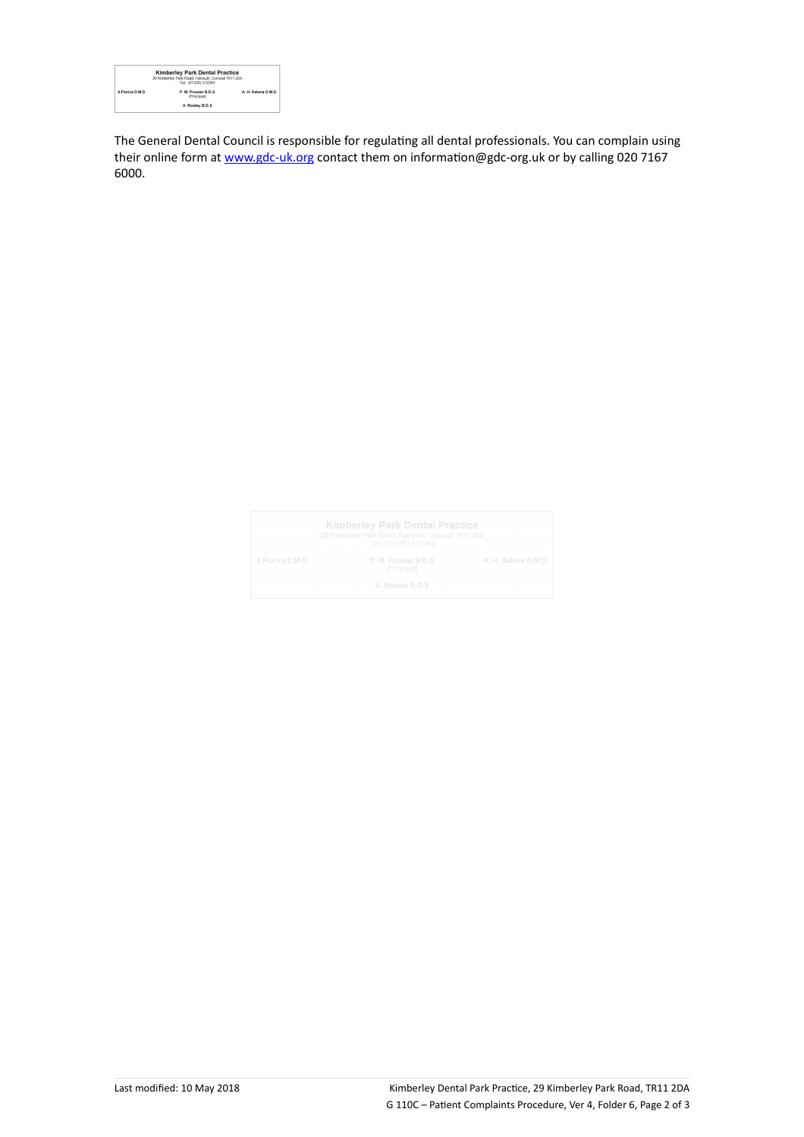| <b>Kimberley Park Dental Practice</b><br>29 Kimberley Park Road, Falmouth, Cornwall TR11 2DA<br>Tel: (01326) 312264 |                                     |                     |
|---------------------------------------------------------------------------------------------------------------------|-------------------------------------|---------------------|
| S Florica D M D                                                                                                     | P. M. Prosser R.D.S.<br>(Principal) | A. H. Katona D.M.D. |
|                                                                                                                     | A Rowley B.D.S.                     |                     |

The General Dental Council is responsible for regulating all dental professionals. You can complain using their online form at [www.gdc-uk.org](http://contactus.gdc-uk.org/Enquiry/SelectType) contact them on information@gdc-org.uk or by calling 020 7167 6000.

|                 | <b>Kimberley Park Dental Practice</b><br>29 Kimberley Park Road, Falmouth, Cornwall TR11 2DA<br>Tel.: (01326) 312264 |                     |
|-----------------|----------------------------------------------------------------------------------------------------------------------|---------------------|
| S.Florica D.M.D | P. M. Prosser B.D.S.<br>(Principal)                                                                                  | A. H. Katona D.M.D. |